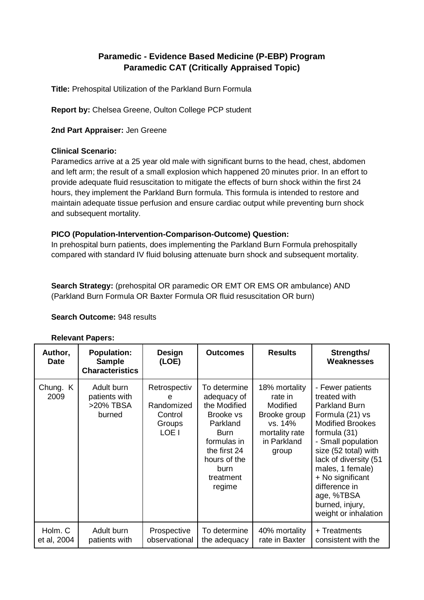# **Paramedic - Evidence Based Medicine (P-EBP) Program Paramedic CAT (Critically Appraised Topic)**

**Title:** Prehospital Utilization of the Parkland Burn Formula

**Report by:** Chelsea Greene, Oulton College PCP student

## **2nd Part Appraiser:** Jen Greene

#### **Clinical Scenario:**

Paramedics arrive at a 25 year old male with significant burns to the head, chest, abdomen and left arm; the result of a small explosion which happened 20 minutes prior. In an effort to provide adequate fluid resuscitation to mitigate the effects of burn shock within the first 24 hours, they implement the Parkland Burn formula. This formula is intended to restore and maintain adequate tissue perfusion and ensure cardiac output while preventing burn shock and subsequent mortality.

## **PICO (Population-Intervention-Comparison-Outcome) Question:**

In prehospital burn patients, does implementing the Parkland Burn Formula prehospitally compared with standard IV fluid bolusing attenuate burn shock and subsequent mortality.

**Search Strategy:** (prehospital OR paramedic OR EMT OR EMS OR ambulance) AND (Parkland Burn Formula OR Baxter Formula OR fluid resuscitation OR burn)

## **Search Outcome:** 948 results

| Author,<br><b>Date</b> | <b>Population:</b><br><b>Sample</b><br><b>Characteristics</b> | <b>Design</b><br>(LOE)                                        | <b>Outcomes</b>                                                                                                                                                   | <b>Results</b>                                                                                            | Strengths/<br>Weaknesses                                                                                                                                                                                                                                                                                        |
|------------------------|---------------------------------------------------------------|---------------------------------------------------------------|-------------------------------------------------------------------------------------------------------------------------------------------------------------------|-----------------------------------------------------------------------------------------------------------|-----------------------------------------------------------------------------------------------------------------------------------------------------------------------------------------------------------------------------------------------------------------------------------------------------------------|
| Chung. K<br>2009       | Adult burn<br>patients with<br>>20% TBSA<br>burned            | Retrospectiv<br>e<br>Randomized<br>Control<br>Groups<br>LOE I | To determine<br>adequacy of<br>the Modified<br>Brooke vs<br>Parkland<br><b>Burn</b><br>formulas in<br>the first 24<br>hours of the<br>burn<br>treatment<br>regime | 18% mortality<br>rate in<br>Modified<br>Brooke group<br>vs. 14%<br>mortality rate<br>in Parkland<br>group | - Fewer patients<br>treated with<br><b>Parkland Burn</b><br>Formula (21) vs<br><b>Modified Brookes</b><br>formula (31)<br>- Small population<br>size (52 total) with<br>lack of diversity (51<br>males, 1 female)<br>+ No significant<br>difference in<br>age, %TBSA<br>burned, injury,<br>weight or inhalation |
| Holm. C<br>et al, 2004 | Adult burn<br>patients with                                   | Prospective<br>observational                                  | To determine<br>the adequacy                                                                                                                                      | 40% mortality<br>rate in Baxter                                                                           | + Treatments<br>consistent with the                                                                                                                                                                                                                                                                             |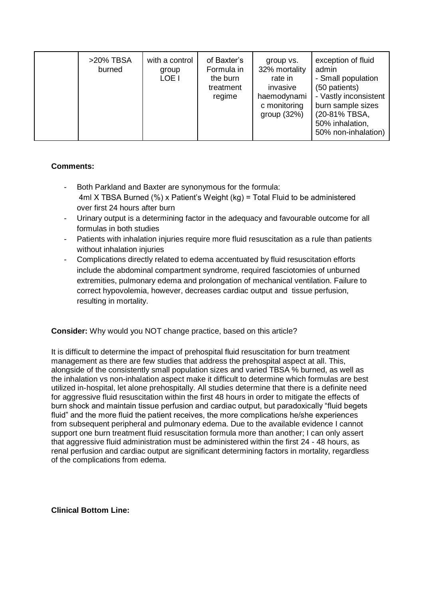|  | >20% TBSA<br>burned | with a control<br>group<br>LOE I | of Baxter's<br>Formula in<br>the burn<br>treatment<br>regime | group vs.<br>32% mortality<br>rate in<br>invasive<br>haemodynami<br>c monitoring<br>group $(32%)$ | exception of fluid<br>admin<br>- Small population<br>(50 patients)<br>- Vastly inconsistent<br>burn sample sizes<br>(20-81% TBSA,<br>50% inhalation,<br>50% non-inhalation) |
|--|---------------------|----------------------------------|--------------------------------------------------------------|---------------------------------------------------------------------------------------------------|-----------------------------------------------------------------------------------------------------------------------------------------------------------------------------|
|--|---------------------|----------------------------------|--------------------------------------------------------------|---------------------------------------------------------------------------------------------------|-----------------------------------------------------------------------------------------------------------------------------------------------------------------------------|

## **Comments:**

- Both Parkland and Baxter are synonymous for the formula: 4ml X TBSA Burned (%) x Patient's Weight (kg) = Total Fluid to be administered over first 24 hours after burn
- Urinary output is a determining factor in the adequacy and favourable outcome for all formulas in both studies
- Patients with inhalation injuries require more fluid resuscitation as a rule than patients without inhalation injuries
- Complications directly related to edema accentuated by fluid resuscitation efforts include the abdominal compartment syndrome, required fasciotomies of unburned extremities, pulmonary edema and prolongation of mechanical ventilation. Failure to correct hypovolemia, however, decreases cardiac output and tissue perfusion, resulting in mortality.

**Consider:** Why would you NOT change practice, based on this article?

It is difficult to determine the impact of prehospital fluid resuscitation for burn treatment management as there are few studies that address the prehospital aspect at all. This, alongside of the consistently small population sizes and varied TBSA % burned, as well as the inhalation vs non-inhalation aspect make it difficult to determine which formulas are best utilized in-hospital, let alone prehospitally. All studies determine that there is a definite need for aggressive fluid resuscitation within the first 48 hours in order to mitigate the effects of burn shock and maintain tissue perfusion and cardiac output, but paradoxically "fluid begets fluid" and the more fluid the patient receives, the more complications he/she experiences from subsequent peripheral and pulmonary edema. Due to the available evidence I cannot support one burn treatment fluid resuscitation formula more than another; I can only assert that aggressive fluid administration must be administered within the first 24 - 48 hours, as renal perfusion and cardiac output are significant determining factors in mortality, regardless of the complications from edema.

**Clinical Bottom Line:**